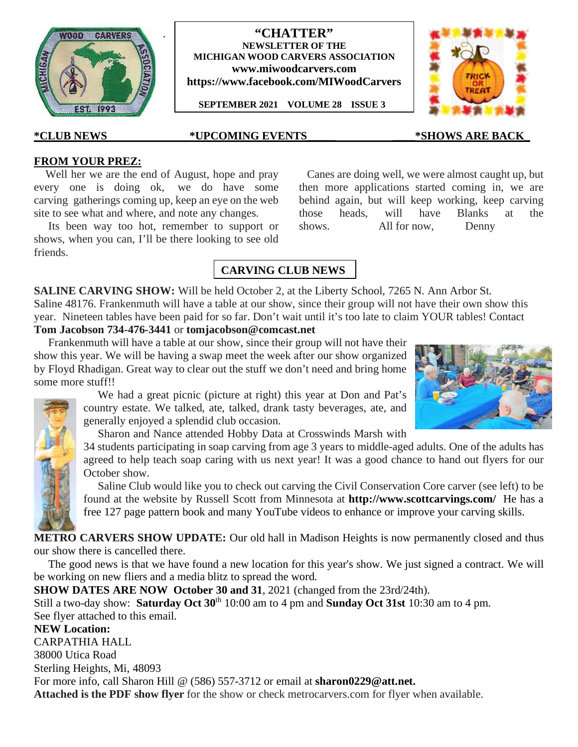

### **"CHATTER" NEWSLETTER OF THE MICHIGAN WOOD CARVERS ASSOCIATION www.miwoodcarvers.com https://www.facebook.com/MIWoodCarvers**

**SEPTEMBER 2021 VOLUME 28 ISSUE 3**



## **\*CLUB NEWS \*UPCOMING EVENTS\_\_\_\_\_ \_\_\_\_\*SHOWS ARE BACK\_**

## **FROM YOUR PREZ:**

Well her we are the end of August, hope and pray every one is doing ok, we do have some carving gatherings coming up, keep an eye on the web site to see what and where, and note any changes.

.

Its been way too hot, remember to support or shows. shows, when you can, I'll be there looking to see old friends.

Canes are doing well, we were almost caught up, but then more applications started coming in, we are behind again, but will keep working, keep carving those heads, will have Blanks at the All for now, Denny

# **CARVING CLUB NEWS**

**SALINE CARVING SHOW:** Will be held October 2, at the Liberty School, 7265 N. Ann Arbor St. Saline 48176. Frankenmuth will have a table at our show, since their group will not have their own show this year. Nineteen tables have been paid for so far. Don't wait until it's too late to claim YOUR tables! Contact **Tom Jacobson 734-476-3441** or **tomjacobson@comcast.net**

Frankenmuth will have a table at our show, since their group will not have their show this year. We will be having a swap meet the week after our show organized by Floyd Rhadigan. Great way to clear out the stuff we don't need and bring home some more stuff!!

> We had a great picnic (picture at right) this year at Don and Pat's country estate. We talked, ate, talked, drank tasty beverages, ate, and generally enjoyed a splendid club occasion.

Sharon and Nance attended Hobby Data at Crosswinds Marsh with

34 students participating in soap carving from age 3 years to middle-aged adults. One of the adults has agreed to help teach soap caring with us next year! It was a good chance to hand out flyers for our October show.

Saline Club would like you to check out carving the Civil Conservation Core carver (see left) to be found at the website by Russell Scott from Minnesota at **http://www.scottcarvings.com/** He has a free 127 page pattern book and many YouTube videos to enhance or improve your carving skills.

**METRO CARVERS SHOW UPDATE:** Our old hall in Madison Heights is now permanently closed and thus our show there is cancelled there.

The good news is that we have found a new location for this year's show. We just signed a contract. We will be working on new fliers and a media blitz to spread the word.

**SHOW DATES ARE NOW October 30 and 31**, 2021 (changed from the 23rd/24th).

Still a two-day show: **Saturday Oct 30**th 10:00 am to 4 pm and **Sunday Oct 31st** 10:30 am to 4 pm. See flyer attached to this email.

**NEW Location:** CARPATHIA HALL 38000 Utica Road Sterling Heights, Mi, 48093 For more info, call Sharon Hill @ (586) 557-3712 or email at **sharon0229@att.net. Attached is the PDF show flyer** for the show or check metrocarvers.com for flyer when available.

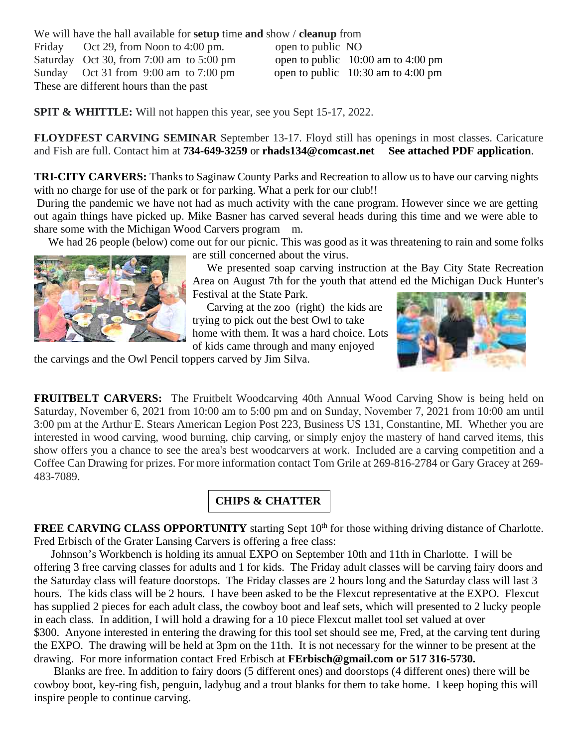We will have the hall available for **setup** time **and** show / **cleanup** from Friday Oct 29, from Noon to 4:00 pm. open to public NO Saturday Oct 30, from 7:00 am to 5:00 pm open to public  $10:00$  am to 4:00 pm Sunday Oct 31 from 9:00 am to 7:00 pm open to public 10:30 am to 4:00 pm These are different hours than the past

**SPIT & WHITTLE:** Will not happen this year, see you Sept 15-17, 2022.

**FLOYDFEST CARVING SEMINAR** September 13-17. Floyd still has openings in most classes. Caricature and Fish are full. Contact him at **734-649-3259** or **rhads134@comcast.net See attached PDF application**.

**TRI-CITY CARVERS:** Thanks to Saginaw County Parks and Recreation to allow us to have our carving nights with no charge for use of the park or for parking. What a perk for our club!!

During the pandemic we have not had as much activity with the cane program. However since we are getting out again things have picked up. Mike Basner has carved several heads during this time and we were able to share some with the Michigan Wood Carvers program m.

We had 26 people (below) come out for our picnic. This was good as it was threatening to rain and some folks



are still concerned about the virus.

We presented soap carving instruction at the Bay City State Recreation Area on August 7th for the youth that attend ed the Michigan Duck Hunter's Festival at the State Park.

Carving at the zoo (right) the kids are trying to pick out the best Owl to take home with them. It was a hard choice. Lots of kids came through and many enjoyed



the carvings and the Owl Pencil toppers carved by Jim Silva.

**FRUITBELT CARVERS:** The Fruitbelt Woodcarving 40th Annual Wood Carving Show is being held on Saturday, November 6, 2021 from 10:00 am to 5:00 pm and on Sunday, November 7, 2021 from 10:00 am until 3:00 pm at the Arthur E. Stears American Legion Post 223, Business US 131, Constantine, MI. Whether you are interested in wood carving, wood burning, chip carving, or simply enjoy the mastery of hand carved items, this show offers you a chance to see the area's best woodcarvers at work. Included are a carving competition and a Coffee Can Drawing for prizes. For more information contact Tom Grile at 269-816-2784 or Gary Gracey at 269- 483-7089.

# **CHIPS & CHATTER**

**FREE CARVING CLASS OPPORTUNITY** starting Sept 10<sup>th</sup> for those withing driving distance of Charlotte. Fred Erbisch of the Grater Lansing Carvers is offering a free class:

Johnson's Workbench is holding its annual EXPO on September 10th and 11th in Charlotte. I will be offering 3 free carving classes for adults and 1 for kids. The Friday adult classes will be carving fairy doors and the Saturday class will feature doorstops. The Friday classes are 2 hours long and the Saturday class will last 3 hours. The kids class will be 2 hours. I have been asked to be the Flexcut representative at the EXPO. Flexcut has supplied 2 pieces for each adult class, the cowboy boot and leaf sets, which will presented to 2 lucky people in each class. In addition, I will hold a drawing for a 10 piece Flexcut mallet tool set valued at over \$300. Anyone interested in entering the drawing for this tool set should see me, Fred, at the carving tent during the EXPO. The drawing will be held at 3pm on the 11th. It is not necessary for the winner to be present at the drawing. For more information contact Fred Erbisch at **FErbisch@gmail.com or 517 316-5730.**

Blanks are free. In addition to fairy doors (5 different ones) and doorstops (4 different ones) there will be cowboy boot, key-ring fish, penguin, ladybug and a trout blanks for them to take home. I keep hoping this will inspire people to continue carving.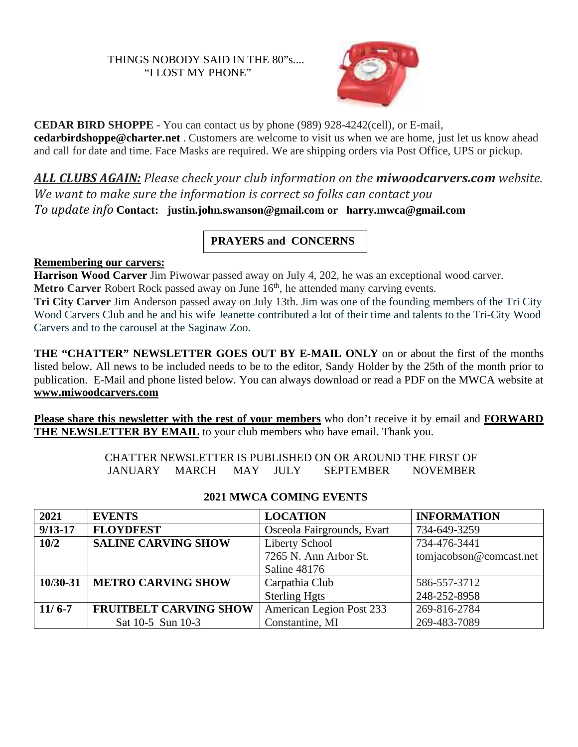## THINGS NOBODY SAID IN THE 80"s.... "I LOST MY PHONE"



**CEDAR BIRD SHOPPE** - You can contact us by phone (989) 928-4242(cell), or E-mail, **cedarbirdshoppe@charter.net** . Customers are welcome to visit us when we are home, just let us know ahead and call for date and time. Face Masks are required. We are shipping orders via Post Office, UPS or pickup.

*ALL CLUBS AGAIN: Please check your club information on the miwoodcarvers.com website. We want to make sure the information is correct so folks can contact you*

*To update info* **Contact: justin.john.swanson@gmail.com or harry.mwca@gmail.com**

# **PRAYERS and CONCERNS**

## **Remembering our carvers:**

**Harrison Wood Carver** Jim Piwowar passed away on July 4, 202, he was an exceptional wood carver. **Metro Carver** Robert Rock passed away on June 16<sup>th</sup>, he attended many carving events.

**Tri City Carver** Jim Anderson passed away on July 13th. Jim was one of the founding members of the Tri City Wood Carvers Club and he and his wife Jeanette contributed a lot of their time and talents to the Tri-City Wood Carvers and to the carousel at the Saginaw Zoo.

**THE "CHATTER" NEWSLETTER GOES OUT BY E-MAIL ONLY** on or about the first of the months listed below. All news to be included needs to be to the editor, Sandy Holder by the 25th of the month prior to publication. E-Mail and phone listed below. You can always download or read a PDF on the MWCA website at **www.miwoodcarvers.com**

**Please share this newsletter with the rest of your members** who don't receive it by email and **FORWARD** THE NEWSLETTER BY EMAIL to your club members who have email. Thank you.

> CHATTER NEWSLETTER IS PUBLISHED ON OR AROUND THE FIRST OF JANUARY MARCH MAY JULY SEPTEMBER NOVEMBER

| 2021        | <b>EVENTS</b>                 | <b>LOCATION</b>            | <b>INFORMATION</b>      |
|-------------|-------------------------------|----------------------------|-------------------------|
| $9/13 - 17$ | <b>FLOYDFEST</b>              | Osceola Fairgrounds, Evart | 734-649-3259            |
| 10/2        | <b>SALINE CARVING SHOW</b>    | Liberty School             | 734-476-3441            |
|             |                               | 7265 N. Ann Arbor St.      | tomjacobson@comcast.net |
|             |                               | Saline 48176               |                         |
| 10/30-31    | <b>METRO CARVING SHOW</b>     | Carpathia Club             | 586-557-3712            |
|             |                               | <b>Sterling Hgts</b>       | 248-252-8958            |
| $11/6 - 7$  | <b>FRUITBELT CARVING SHOW</b> | American Legion Post 233   | 269-816-2784            |
|             | Sat 10-5 Sun 10-3             | Constantine, MI            | 269-483-7089            |

## **2021 MWCA COMING EVENTS**